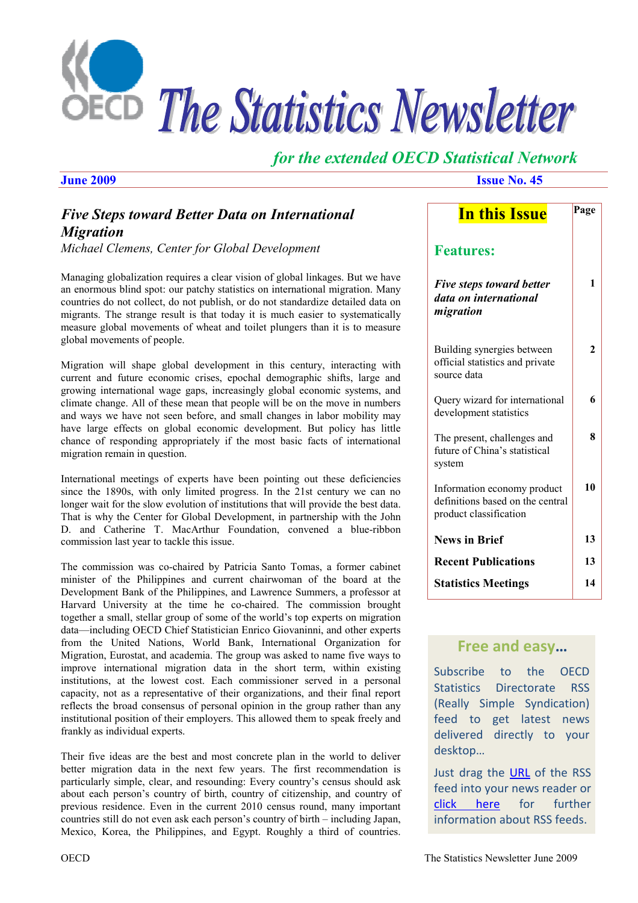

# *for the extended OECD Statistical Network*

*June 2009* **Issue No. 45** 

**Page** 

**In this Issue** 

# *Five Steps toward Better Data on International Migration*

*Michael Clemens, Center for Global Development*

Managing globalization requires a clear vision of global linkages. But we have an enormous blind spot: our patchy statistics on international migration. Many countries do not collect, do not publish, or do not standardize detailed data on migrants. The strange result is that today it is much easier to systematically measure global movements of wheat and toilet plungers than it is to measure global movements of people.

Migration will shape global development in this century, interacting with current and future economic crises, epochal demographic shifts, large and growing international wage gaps, increasingly global economic systems, and climate change. All of these mean that people will be on the move in numbers and ways we have not seen before, and small changes in labor mobility may have large effects on global economic development. But policy has little chance of responding appropriately if the most basic facts of international migration remain in question.

International meetings of experts have been pointing out these deficiencies since the 1890s, with only limited progress. In the 21st century we can no longer wait for the slow evolution of institutions that will provide the best data. That is why the Center for Global Development, in partnership with the John D. and Catherine T. MacArthur Foundation, convened a blue-ribbon commission last year to tackle this issue.

The commission was co-chaired by Patricia Santo Tomas, a former cabinet minister of the Philippines and current chairwoman of the board at the Development Bank of the Philippines, and Lawrence Summers, a professor at Harvard University at the time he co-chaired. The commission brought together a small, stellar group of some of the world's top experts on migration data—including OECD Chief Statistician Enrico Giovaninni, and other experts from the United Nations, World Bank, International Organization for Migration, Eurostat, and academia. The group was asked to name five ways to improve international migration data in the short term, within existing institutions, at the lowest cost. Each commissioner served in a personal capacity, not as a representative of their organizations, and their final report reflects the broad consensus of personal opinion in the group rather than any institutional position of their employers. This allowed them to speak freely and frankly as individual experts.

Their five ideas are the best and most concrete plan in the world to deliver better migration data in the next few years. The first recommendation is particularly simple, clear, and resounding: Every country's census should ask about each person's country of birth, country of citizenship, and country of previous residence. Even in the current 2010 census round, many important countries still do not even ask each person's country of birth – including Japan, Mexico, Korea, the Philippines, and Egypt. Roughly a third of countries.

| <u>III liib Issue</u>                                                                     |                |
|-------------------------------------------------------------------------------------------|----------------|
| <b>Features:</b>                                                                          |                |
| <b>Five steps toward better</b><br>data on international<br>migration                     | 1              |
| Building synergies between<br>official statistics and private<br>source data              | $\overline{2}$ |
| Query wizard for international<br>development statistics                                  | 6              |
| The present, challenges and<br>future of China's statistical<br>system                    | 8              |
| Information economy product<br>definitions based on the central<br>product classification | 10             |
| <b>News in Brief</b>                                                                      | 13             |
| <b>Recent Publications</b>                                                                | 13             |
| <b>Statistics Meetings</b>                                                                | 14             |

## **Free and easy…**

Subscribe to the OECD Statistics Directorate RSS (Really Simple Syndication) feed to get latest news delivered directly to your desktop…

Just drag the [URL](http://www.oecd.org/RSS_channel/0,3045,en_2649_33715_1_1_1_1_1,00.xml) of the RSS feed into your news reader or [click here](http://www.oecd.org/document/51/0,3343,en_2649_201185_36601907_1_1_1_1,00.html) for further information about RSS feeds.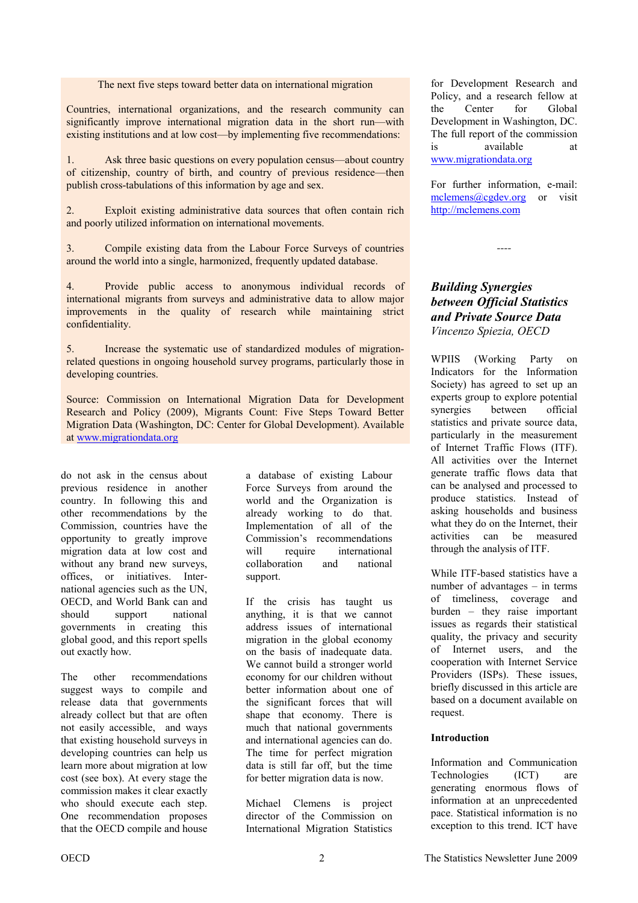The next five steps toward better data on international migration

<span id="page-1-0"></span>Countries, international organizations, and the research community can significantly improve international migration data in the short run—with existing institutions and at low cost—by implementing five recommendations:

1. Ask three basic questions on every population census—about country of citizenship, country of birth, and country of previous residence—then publish cross-tabulations of this information by age and sex.

2. Exploit existing administrative data sources that often contain rich and poorly utilized information on international movements.

3. Compile existing data from the Labour Force Surveys of countries around the world into a single, harmonized, frequently updated database.

4. Provide public access to anonymous individual records of international migrants from surveys and administrative data to allow major improvements in the quality of research while maintaining strict confidentiality.

5. Increase the systematic use of standardized modules of migrationrelated questions in ongoing household survey programs, particularly those in developing countries.

Source: Commission on International Migration Data for Development Research and Policy (2009), Migrants Count: Five Steps Toward Better Migration Data (Washington, DC: Center for Global Development). Available at www.migrationdata.org

do not ask in the census about previous residence in another country. In following this and other recommendations by the Commission, countries have the opportunity to greatly improve migration data at low cost and without any brand new surveys, offices, or initiatives. International agencies such as the UN, OECD, and World Bank can and should support national governments in creating this global good, and this report spells out exactly how.

The other recommendations suggest ways to compile and release data that governments already collect but that are often not easily accessible, and ways that existing household surveys in developing countries can help us learn more about migration at low cost (see box). At every stage the commission makes it clear exactly who should execute each step. One recommendation proposes that the OECD compile and house

a database of existing Labour Force Surveys from around the world and the Organization is already working to do that. Implementation of all of the Commission's recommendations will require international collaboration and national support.

If the crisis has taught us anything, it is that we cannot address issues of international migration in the global economy on the basis of inadequate data. We cannot build a stronger world economy for our children without better information about one of the significant forces that will shape that economy. There is much that national governments and international agencies can do. The time for perfect migration data is still far off, but the time for better migration data is now.

Michael Clemens is project director of the Commission on International Migration Statistics

for Development Research and Policy, and a research fellow at the Center for Global Development in Washington, DC. The full report of the commission is available at www.migrationdata.org

For further information, e-mail: mclemens@cgdev.org or visit http://mclemens.com

*----* 

#### *Building Synergies between Official Statistics and Private Source Data Vincenzo Spiezia, OECD*

WPIIS (Working Party on Indicators for the Information Society) has agreed to set up an experts group to explore potential synergies between official statistics and private source data, particularly in the measurement of Internet Traffic Flows (ITF). All activities over the Internet generate traffic flows data that can be analysed and processed to produce statistics. Instead of asking households and business what they do on the Internet, their activities can be measured through the analysis of ITF.

While ITF-based statistics have a number of advantages – in terms of timeliness, coverage and burden – they raise important issues as regards their statistical quality, the privacy and security of Internet users, and the cooperation with Internet Service Providers (ISPs). These issues, briefly discussed in this article are based on a document available on request.

#### **Introduction**

Information and Communication Technologies (ICT) are generating enormous flows of information at an unprecedented pace. Statistical information is no exception to this trend. ICT have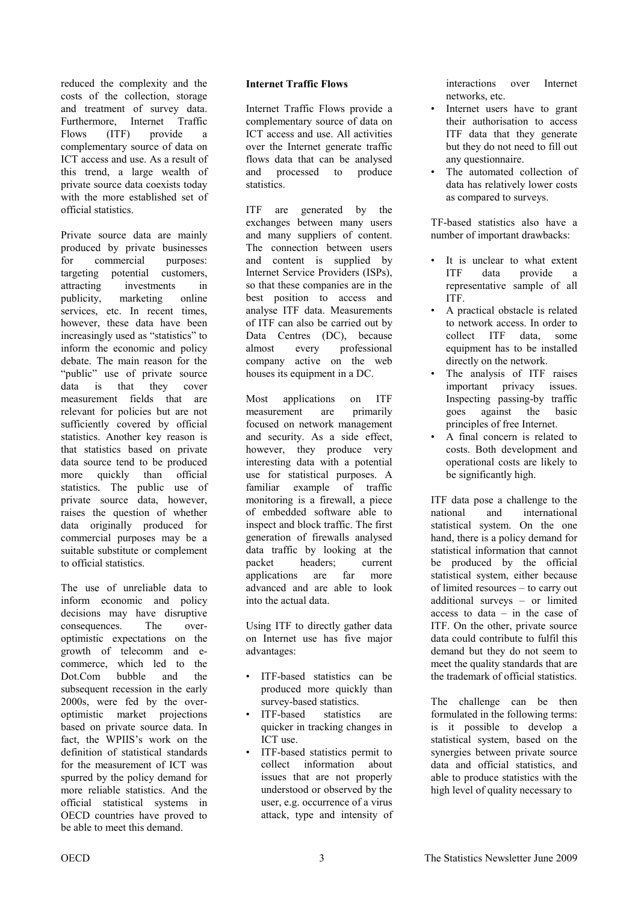reduced the complexity and the costs of the collection, storage and treatment of survey data. Furthermore, Internet Traffic Flows (ITF) provide a complementary source of data on ICT access and use. As a result of this trend, a large wealth of private source data coexists today with the more established set of official statistics.

Private source data are mainly produced by private businesses for commercial purposes: targeting potential customers, attracting investments in publicity, marketing online services, etc. In recent times, however, these data have been increasingly used as "statistics" to inform the economic and policy debate. The main reason for the "public" use of private source data is that they cover measurement fields that are relevant for policies but are not sufficiently covered by official statistics. Another key reason is that statistics based on private data source tend to be produced more quickly than official statistics. The public use of private source data, however, raises the question of whether data originally produced for commercial purposes may be a suitable substitute or complement to official statistics.

The use of unreliable data to inform economic and policy decisions may have disruptive consequences. The overoptimistic expectations on the growth of telecomm and ecommerce, which led to the Dot.Com bubble and the subsequent recession in the early 2000s, were fed by the overoptimistic market projections based on private source data. In fact, the WPIIS's work on the definition of statistical standards for the measurement of ICT was spurred by the policy demand for more reliable statistics. And the official statistical systems in OECD countries have proved to be able to meet this demand.

#### **Internet Traffic Flows**

Internet Traffic Flows provide a complementary source of data on ICT access and use. All activities over the Internet generate traffic flows data that can be analysed and processed to produce statistics.

ITF are generated by the exchanges between many users and many suppliers of content. The connection between users and content is supplied by Internet Service Providers (ISPs), so that these companies are in the best position to access and analyse ITF data. Measurements of ITF can also be carried out by Data Centres (DC), because almost every professional company active on the web houses its equipment in a DC.

Most applications on ITF measurement are primarily focused on network management and security. As a side effect, however, they produce very interesting data with a potential use for statistical purposes. A familiar example of traffic monitoring is a firewall, a piece of embedded software able to inspect and block traffic. The first generation of firewalls analysed data traffic by looking at the packet headers; current applications are far more advanced and are able to look into the actual data.

Using ITF to directly gather data on Internet use has five major advantages:

- ITF-based statistics can be produced more quickly than survey-based statistics.
- ITF-based statistics are quicker in tracking changes in ICT use.
- ITF-based statistics permit to collect information about issues that are not properly understood or observed by the user, e.g. occurrence of a virus attack, type and intensity of

interactions over Internet networks, etc.

- Internet users have to grant their authorisation to access ITF data that they generate but they do not need to fill out any questionnaire.
- The automated collection of data has relatively lower costs as compared to surveys.

TF-based statistics also have a number of important drawbacks:

- It is unclear to what extent ITF data provide a representative sample of all ITF.
- A practical obstacle is related to network access. In order to collect ITF data, some equipment has to be installed directly on the network.
- The analysis of ITF raises important privacy issues. Inspecting passing-by traffic goes against the basic principles of free Internet.
- A final concern is related to costs. Both development and operational costs are likely to be significantly high.

ITF data pose a challenge to the national and international statistical system. On the one hand, there is a policy demand for statistical information that cannot be produced by the official statistical system, either because of limited resources – to carry out additional surveys – or limited access to data – in the case of ITF. On the other, private source data could contribute to fulfil this demand but they do not seem to meet the quality standards that are the trademark of official statistics.

The challenge can be then formulated in the following terms: is it possible to develop a statistical system, based on the synergies between private source data and official statistics, and able to produce statistics with the high level of quality necessary to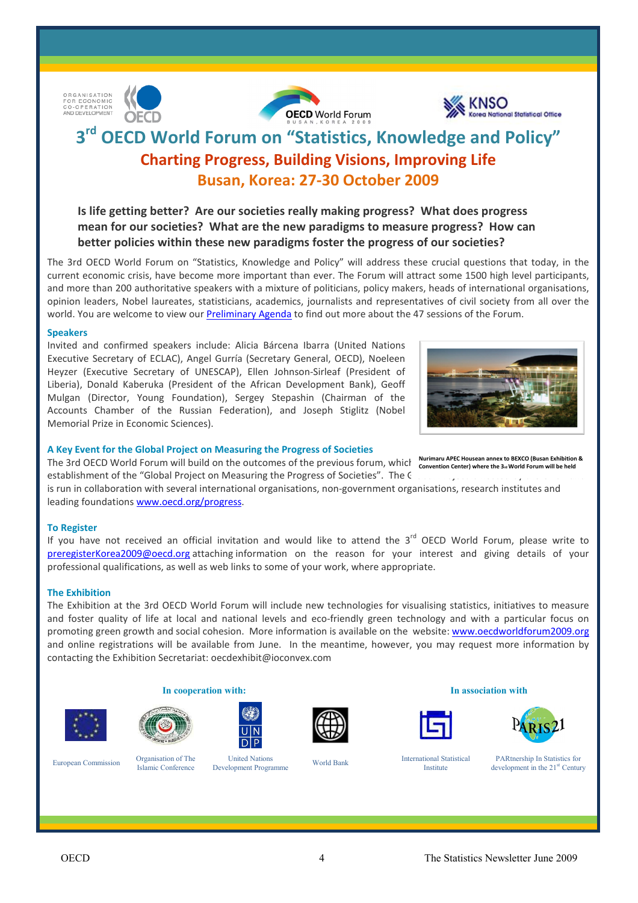

ORGANISATION<br>FOR ECONOMIC CO-OPERATION<br>AND DEVELOPMENT

# **3rd OECD World Forum on "Statistics, Knowledge and Policy" Charting Progress, Building Visions, Improving Life Busan, Korea: 27-30 October 2009**

**Is life getting better? Are our societies really making progress? What does progress mean for our societies? What are the new paradigms to measure progress? How can better policies within these new paradigms foster the progress of our societies?** 

The 3rd OECD World Forum on "Statistics, Knowledge and Policy" will address these crucial questions that today, in the current economic crisis, have become more important than ever. The Forum will attract some 1500 high level participants, and more than 200 authoritative speakers with a mixture of politicians, policy makers, heads of international organisations, opinion leaders, Nobel laureates, statisticians, academics, journalists and representatives of civil society from all over the world. You are welcome to view ou[r Preliminary Agenda](http://www.oecd.org/dataoecd/52/19/42536811.pdf) to find out more about the 47 sessions of the Forum.

#### **Speakers**

Invited and confirmed speakers include: Alicia Bárcena Ibarra (United Nations Executive Secretary of ECLAC), Angel Gurría (Secretary General, OECD), Noeleen Heyzer (Executive Secretary of UNESCAP), Ellen Johnson-Sirleaf (President of Liberia), Donald Kaberuka (President of the African Development Bank), Geoff Mulgan (Director, Young Foundation), Sergey Stepashin (Chairman of the Accounts Chamber of the Russian Federation), and Joseph Stiglitz (Nobel Memorial Prize in Economic Sciences).

#### **A Key Event for the Global Project on Measuring the Progress of Societies**

The 3rd OECD World Forum will build on the outcomes of the previous forum, whicl Nurimaru APEC Housean annex to BEXCO (Busan Exhibition & establishment of the "Global Project on Measuring the Progress of Societies". The C

is run in collaboration with several international organisations, non-government organisations, research institutes and leading foundations [www.oecd.org/progress.](http://www.oecd.org/pages/0,3417,en_40033426_40033828_1_1_1_1_1,00.html) 

#### **To Register**

If you have not received an official invitation and would like to attend the  $3<sup>rd</sup>$  OECD World Forum, please write to preregisterKorea2009@oecd.org attaching information on the reason for your interest and giving details of your professional qualifications, as well as web links to some of your work, where appropriate.

#### **The Exhibition**

The Exhibition at the 3rd OECD World Forum will include new technologies for visualising statistics, initiatives to measure and foster quality of life at local and national levels and eco-friendly green technology and with a particular focus on promoting green growth and social cohesion. More information is available on the website: www.oecdworldforum2009.org and online registrations will be available from June. In the meantime, however, you may request more information by contacting the Exhibition Secretariat: oecdexhibit@ioconvex.com

**In cooperation with: In association with**







United Nations Development Programme World Bank International Statistical













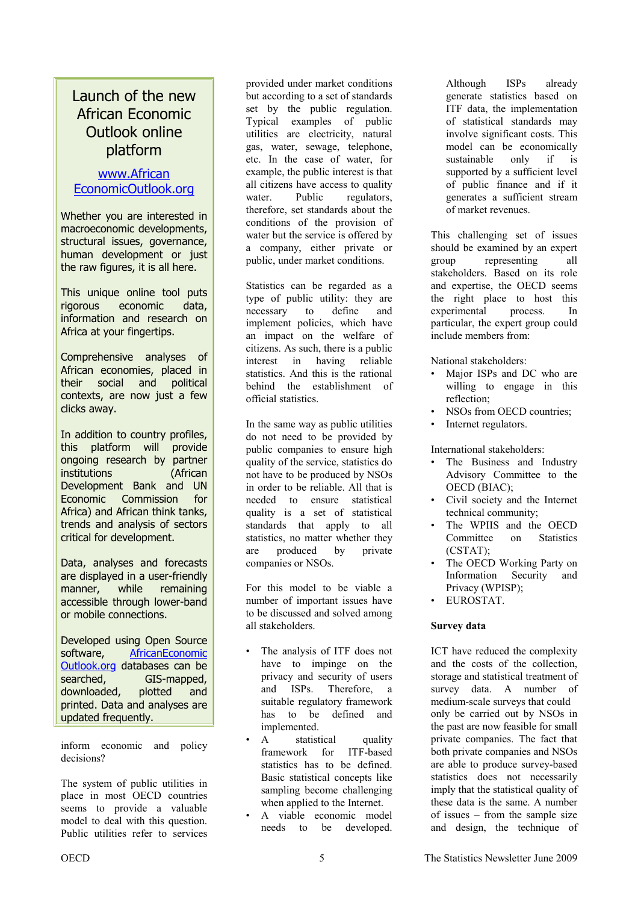# Launch of the new African Economic Outlook online platform

### www.African [EconomicOutlook.org](www.africaneconomicoutlook.org)

Whether you are interested in macroeconomic developments, structural issues, governance, human development or just the raw figures, it is all here.

This unique online tool puts rigorous economic data, information and research on Africa at your fingertips.

Comprehensive analyses of African economies, placed in their social and political contexts, are now just a few clicks away.

In addition to country profiles, this platform will provide ongoing research by partner institutions (African Development Bank and UN Economic Commission for Africa) and African think tanks, trends and analysis of sectors critical for development.

Data, analyses and forecasts are displayed in a user-friendly manner, while remaining accessible through lower-band or mobile connections.

Developed using Open Source software, [AfricanEconomic](www.africaneconomicoutlook.org) [Outlook.org](www.africaneconomicoutlook.org) databases can be searched, GIS-mapped, downloaded, plotted and printed. Data and analyses are updated frequently.

inform economic and policy decisions?

The system of public utilities in place in most OECD countries seems to provide a valuable model to deal with this question. Public utilities refer to services

provided under market conditions but according to a set of standards set by the public regulation. Typical examples of public utilities are electricity, natural gas, water, sewage, telephone, etc. In the case of water, for example, the public interest is that all citizens have access to quality water. Public regulators, therefore, set standards about the conditions of the provision of water but the service is offered by a company, either private or public, under market conditions.

Statistics can be regarded as a type of public utility: they are necessary to define and implement policies, which have an impact on the welfare of citizens. As such, there is a public interest in having reliable statistics. And this is the rational behind the establishment of official statistics.

In the same way as public utilities do not need to be provided by public companies to ensure high quality of the service, statistics do not have to be produced by NSOs in order to be reliable. All that is needed to ensure statistical quality is a set of statistical standards that apply to all statistics, no matter whether they are produced by private companies or NSOs.

For this model to be viable a number of important issues have to be discussed and solved among all stakeholders.

- The analysis of ITF does not have to impinge on the privacy and security of users and ISPs. Therefore, a suitable regulatory framework has to be defined and implemented.
- A statistical quality framework for ITF-based statistics has to be defined. Basic statistical concepts like sampling become challenging when applied to the Internet.
- A viable economic model needs to be developed.

Although ISPs already generate statistics based on ITF data, the implementation of statistical standards may involve significant costs. This model can be economically sustainable only if is supported by a sufficient level of public finance and if it generates a sufficient stream of market revenues.

This challenging set of issues should be examined by an expert group representing all stakeholders. Based on its role and expertise, the OECD seems the right place to host this experimental process. In particular, the expert group could include members from:

National stakeholders:

- Major ISPs and DC who are willing to engage in this reflection;
- NSOs from OECD countries:
- Internet regulators.

International stakeholders:

- The Business and Industry Advisory Committee to the OECD (BIAC);
- Civil society and the Internet technical community;
- The WPIIS and the OECD Committee on Statistics (CSTAT);
- The OECD Working Party on Information Security and Privacy (WPISP);
- EUROSTAT.

#### **Survey data**

ICT have reduced the complexity and the costs of the collection, storage and statistical treatment of survey data. A number of medium-scale surveys that could only be carried out by NSOs in the past are now feasible for small private companies. The fact that both private companies and NSOs are able to produce survey-based statistics does not necessarily imply that the statistical quality of these data is the same. A number of issues – from the sample size and design, the technique of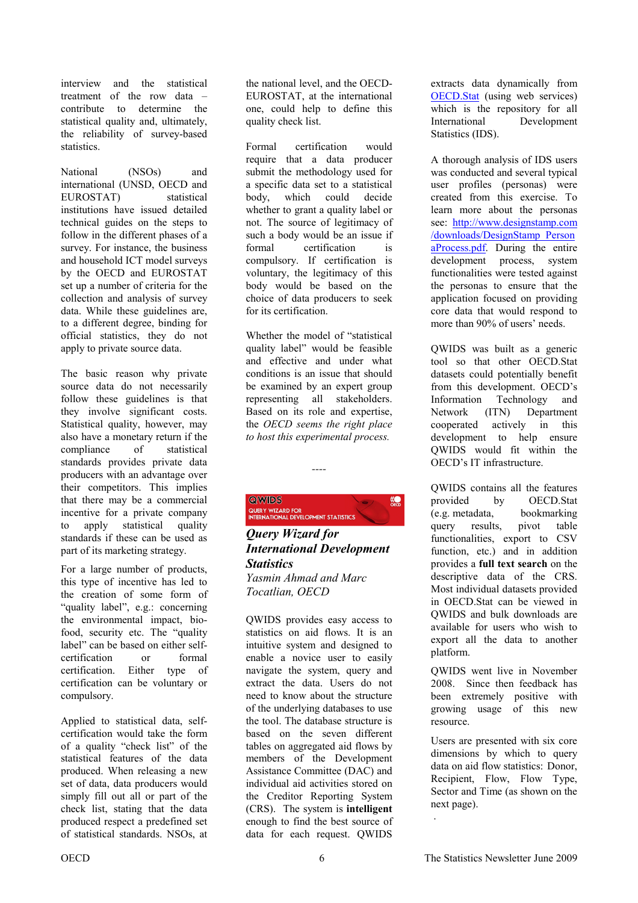<span id="page-5-0"></span>interview and the statistical treatment of the row data – contribute to determine the statistical quality and, ultimately, the reliability of survey-based statistics.

National (NSOs) and international (UNSD, OECD and EUROSTAT) statistical institutions have issued detailed technical guides on the steps to follow in the different phases of a survey. For instance, the business and household ICT model surveys by the OECD and EUROSTAT set up a number of criteria for the collection and analysis of survey data. While these guidelines are, to a different degree, binding for official statistics, they do not apply to private source data.

The basic reason why private source data do not necessarily follow these guidelines is that they involve significant costs. Statistical quality, however, may also have a monetary return if the compliance of statistical standards provides private data producers with an advantage over their competitors. This implies that there may be a commercial incentive for a private company to apply statistical quality standards if these can be used as part of its marketing strategy.

For a large number of products, this type of incentive has led to the creation of some form of "quality label", e.g.: concerning the environmental impact, biofood, security etc. The "quality label" can be based on either selfcertification or formal certification. Either type of certification can be voluntary or compulsory.

Applied to statistical data, selfcertification would take the form of a quality "check list" of the statistical features of the data produced. When releasing a new set of data, data producers would simply fill out all or part of the check list, stating that the data produced respect a predefined set of statistical standards. NSOs, at

the national level, and the OECD-EUROSTAT, at the international one, could help to define this quality check list.

Formal certification would require that a data producer submit the methodology used for a specific data set to a statistical body, which could decide whether to grant a quality label or not. The source of legitimacy of such a body would be an issue if formal certification is compulsory. If certification is voluntary, the legitimacy of this body would be based on the choice of data producers to seek for its certification.

Whether the model of "statistical quality label" would be feasible and effective and under what conditions is an issue that should be examined by an expert group representing all stakeholders. Based on its role and expertise, the *OECD seems the right place to host this experimental process.* 

*----* 

 $rac{1}{\text{OED}}$ 

**QWIDS** QUERY WIZARD FOR<br>INTERNATIONAL DEVELOPMENT STATISTICS

*Query Wizard for International Development Statistics Yasmin Ahmad and Marc Tocatlian, OECD* 

QWIDS provides easy access to statistics on aid flows. It is an intuitive system and designed to enable a novice user to easily navigate the system, query and extract the data. Users do not need to know about the structure of the underlying databases to use the tool. The database structure is based on the seven different tables on aggregated aid flows by members of the Development Assistance Committee (DAC) and individual aid activities stored on the Creditor Reporting System (CRS). The system is **intelligent**  enough to find the best source of data for each request. QWIDS

extracts data dynamically from [OECD.Stat](http://stats.oecd.org/Index.aspx) (using web services) which is the repository for all International Development Statistics (IDS).

A thorough analysis of IDS users was conducted and several typical user profiles (personas) were created from this exercise. To learn more about the personas see: http://www.designstamp.com /downloads/DesignStamp\_Person aProcess.pdf. During the entire development process, system functionalities were tested against the personas to ensure that the application focused on providing core data that would respond to more than 90% of users' needs.

QWIDS was built as a generic tool so that other OECD.Stat datasets could potentially benefit from this development. OECD's Information Technology and Network (ITN) Department cooperated actively in this development to help ensure QWIDS would fit within the OECD's IT infrastructure.

QWIDS contains all the features provided by OECD.Stat (e.g. metadata, bookmarking query results, pivot table functionalities, export to CSV function, etc.) and in addition provides a **full text search** on the descriptive data of the CRS. Most individual datasets provided in OECD.Stat can be viewed in QWIDS and bulk downloads are available for users who wish to export all the data to another platform.

QWIDS went live in November 2008. Since then feedback has been extremely positive with growing usage of this new resource.

Users are presented with six core dimensions by which to query data on aid flow statistics: Donor, Recipient, Flow, Flow Type, Sector and Time (as shown on the next page).

.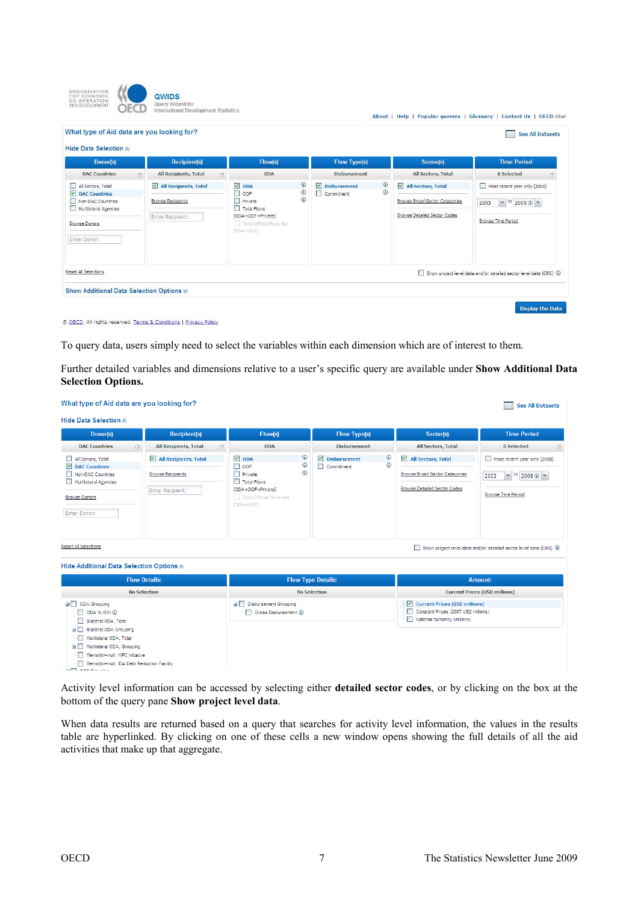| ORGANISATION<br>FOR ECONOMIC<br>CO-OPERATION<br>AND DEVELOPMENT                                                                      | QWIDS<br>Query Wizard for<br>International Development Statistics     |                                                                                                                                           |                       |                                                              |                     | About   Help   Popular queries   Glossary   Contact Us   OECD.Stat                   |                                                                                             |   |
|--------------------------------------------------------------------------------------------------------------------------------------|-----------------------------------------------------------------------|-------------------------------------------------------------------------------------------------------------------------------------------|-----------------------|--------------------------------------------------------------|---------------------|--------------------------------------------------------------------------------------|---------------------------------------------------------------------------------------------|---|
| What type of Aid data are you looking for?                                                                                           |                                                                       |                                                                                                                                           |                       |                                                              |                     |                                                                                      | <b>See All Datasets</b>                                                                     |   |
| Hide Data Selection $\otimes$                                                                                                        |                                                                       |                                                                                                                                           |                       |                                                              |                     |                                                                                      |                                                                                             |   |
| Donor(s)                                                                                                                             | <b>Recipient(s)</b>                                                   | Flow(s)                                                                                                                                   |                       | <b>Flow Type(s)</b>                                          |                     | Sector(s)<br><b>Time Period</b>                                                      |                                                                                             |   |
| <b>DAC Countries</b><br>中国                                                                                                           | All Recipients, Total                                                 | ODA<br>昼                                                                                                                                  |                       | <b>Disbursement</b>                                          |                     | All Sectors, Total                                                                   | 6 Selected                                                                                  | 中 |
| All Donors, Total<br>罓<br><b>DAC Countries</b><br>Non-DAC Countries<br>Multilateral Agencies<br><b>Browse Donors</b><br>Enter Donor: | All Recipients, Total<br><b>Browse Recipients</b><br>Enter Recipient: | $\overline{\mathbf{v}}$<br>ODA<br>П<br>OOF<br>П<br>Private<br>Total Flows<br>(ODA+OOF+Private)<br>Total Official Flows Net<br>$(ODA+OOF)$ | ⊕<br>٨<br>$\circledR$ | $\overline{\mathbf{v}}$<br><b>Disbursement</b><br>Commitment | ⊙<br>$\circledcirc$ | All Sectors, Total<br>Browse Broad Sector Categories<br>Browse Detailed Sector Codes | Most recent year only (2008)<br>$\vee$ to 2008 $\circ$ $\vee$<br>2003<br>Browse Time Period |   |
| Reset All Selections<br>Show Additional Data Selection Options $\otimes$                                                             |                                                                       |                                                                                                                                           |                       |                                                              |                     |                                                                                      | Show project-level data and/or detailed sector level data (CRS) 3                           |   |

© OECD. All rights reserved. Terms & Conditions | Privacy Policy

To query data, users simply need to select the variables within each dimension which are of interest to them.

Further detailed variables and dimensions relative to a user's specific query are available under **Show Additional Data Selection Options.** 

| What type of Aid data are you looking for?                                                                                                                                                                                                                            |                                                                              |                                                                                                                                                   |                                                               |                                                                                                                | <b>See All Datasets</b>                                                                            |  |
|-----------------------------------------------------------------------------------------------------------------------------------------------------------------------------------------------------------------------------------------------------------------------|------------------------------------------------------------------------------|---------------------------------------------------------------------------------------------------------------------------------------------------|---------------------------------------------------------------|----------------------------------------------------------------------------------------------------------------|----------------------------------------------------------------------------------------------------|--|
| Hide Data Selection $\triangle$                                                                                                                                                                                                                                       |                                                                              |                                                                                                                                                   |                                                               |                                                                                                                |                                                                                                    |  |
| Donor(s)                                                                                                                                                                                                                                                              | <b>Recipient(s)</b>                                                          | Flow(s)                                                                                                                                           | <b>Flow Type(s)</b>                                           | Sector(s)                                                                                                      | <b>Time Period</b>                                                                                 |  |
| <b>DAC Countries</b><br>$\overline{\mathbb{P}}$                                                                                                                                                                                                                       | All Recipients, Total<br>中                                                   | <b>ODA</b>                                                                                                                                        | Disbursement                                                  | All Sectors, Total                                                                                             | 6 Selected<br>子                                                                                    |  |
| All Donors, Total<br>$\nabla$ DAC Countries<br>Non-DAC Countries<br>Multilateral Agencies<br><b>Browse Donors</b><br><b>Enter Donor:</b>                                                                                                                              | All Recipients, Total<br><b>Browse Recipients</b><br><b>Enter Recipient:</b> | ٨<br>$\triangledown$ ODA<br>◈<br>$\Box$ OOF<br>⊛<br>$\Box$ Private<br>Total Flows<br>(ODA+OOF+Private)<br>Total Official Flows Net<br>$(ODA+OOF)$ | ⊙<br>$\blacksquare$<br><b>Disbursement</b><br>⊙<br>Commitment | All Sectors, Total<br>Browse Broad Sector Categories<br><b>Browse Detailed Sector Codes</b>                    | Most recent year only (2008)<br>$\vee$ to 2008 $\circ$ $\vee$<br>2003<br><b>Browse Time Period</b> |  |
| <b>Reset All Selections</b>                                                                                                                                                                                                                                           |                                                                              |                                                                                                                                                   |                                                               |                                                                                                                | Show project-level data and/or detailed sector level data (CRS) 3                                  |  |
| Hide Additional Data Selection Options $\otimes$                                                                                                                                                                                                                      |                                                                              |                                                                                                                                                   |                                                               |                                                                                                                |                                                                                                    |  |
| <b>Flow Details:</b>                                                                                                                                                                                                                                                  |                                                                              |                                                                                                                                                   | <b>Flow Type Details:</b>                                     | Amount:                                                                                                        |                                                                                                    |  |
| <b>No Selection</b>                                                                                                                                                                                                                                                   |                                                                              |                                                                                                                                                   | <b>No Selection</b>                                           | <b>Current Prices (USD millions)</b>                                                                           |                                                                                                    |  |
| ODA Grouping<br>ODA % GNI @<br>Bilateral ODA, Total<br>由口<br><b>Bilateral ODA Grouping</b><br>Multilateral ODA, Total<br>Multilateral ODA, Grouping<br><b>B</b><br>Memo(bil+mul): HIPC Initiative<br>Memo(bil+mul): IDA Debt Reduction Facility<br>$\bigcap$ on ourse |                                                                              | Disbursement Grouping<br>Gross Disbursement (3)                                                                                                   |                                                               | Current Prices (USD millions)<br>□<br>Constant Prices (2007 USD millions)<br>П<br>National currency (millions) |                                                                                                    |  |

Activity level information can be accessed by selecting either **detailed sector codes**, or by clicking on the box at the bottom of the query pane **Show project level data**.

When data results are returned based on a query that searches for activity level information, the values in the results table are hyperlinked. By clicking on one of these cells a new window opens showing the full details of all the aid activities that make up that aggregate.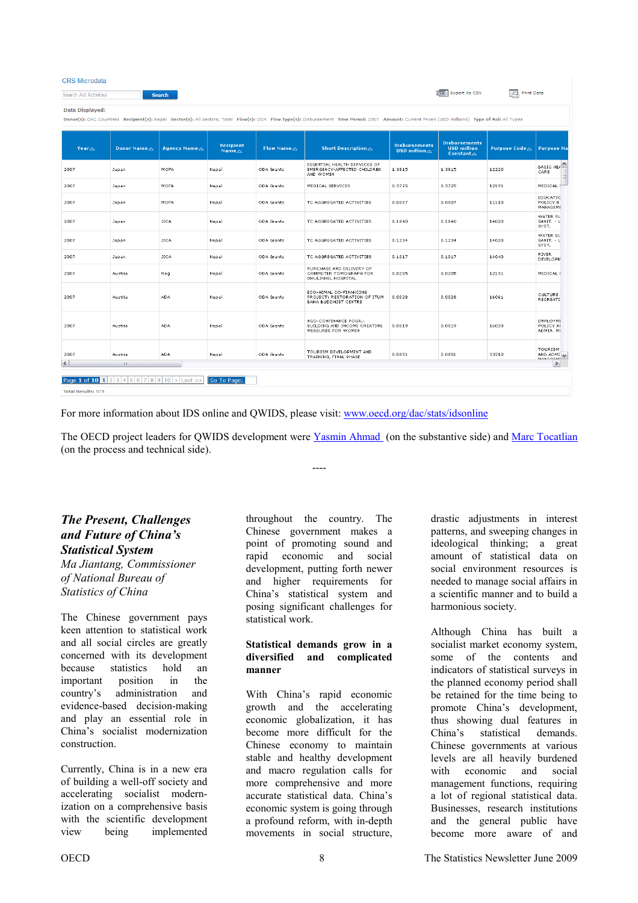<span id="page-7-0"></span>

| <b>CRS</b> Microdata                                                                                                                                                                                                |                                   |                      |                               |                       |                                                                                       |                                                        |                                                                    |                          |                                                                |
|---------------------------------------------------------------------------------------------------------------------------------------------------------------------------------------------------------------------|-----------------------------------|----------------------|-------------------------------|-----------------------|---------------------------------------------------------------------------------------|--------------------------------------------------------|--------------------------------------------------------------------|--------------------------|----------------------------------------------------------------|
| <b>EXPORT AS CSV</b><br><b>Print Data</b><br>A<br>Search Aid Activities<br><b>Search</b>                                                                                                                            |                                   |                      |                               |                       |                                                                                       |                                                        |                                                                    |                          |                                                                |
| Data Displayed:<br>Donor(s): DAC Countries Recipient(s): Nepal Sector(s): All Sectors, Total Flow(s): ODA Flow Type(s): Disbursement Time Period: 2007 Amount: Current Prices (USD millions) Type of Aid: All Types |                                   |                      |                               |                       |                                                                                       |                                                        |                                                                    |                          |                                                                |
| Year $\triangle$                                                                                                                                                                                                    | Donor Name A                      | <b>Agency Name</b> △ | Recipient<br>Name $\triangle$ | Flow Name $\triangle$ | <b>Short Description</b> △                                                            | <b>Disbursements</b><br><b>USD</b> million $\triangle$ | <b>Disbursements</b><br><b>USD million</b><br>Constant $\triangle$ | Purpose Code $\triangle$ | <b>Purpose Na</b>                                              |
| 2007                                                                                                                                                                                                                | Japan                             | MOFA                 | Nepal                         | ODA Grants            | ESSENTIAL HEALTH SERVICES OF<br>EMERGENCY-AFFECTED CHILDREN<br>AND WOMEN              | 1.3815                                                 | 1.3815                                                             | 12220                    | BASIC HEA<br>CARE                                              |
| 2007                                                                                                                                                                                                                | Japan                             | MOFA                 | Nepal                         | ODA Grants            | MEDICAL SERVICES                                                                      | 0.3725                                                 | 0.3725                                                             | 12191                    | MEDICAL                                                        |
| 2007                                                                                                                                                                                                                | Japan                             | MOFA                 | Nepal                         | ODA Grants            | TC AGGREGATED ACTIVITIES                                                              | 0.0007                                                 | 0.0007                                                             | 11110                    | EDUCATIC<br>POLICY &<br>MANAGEME                               |
| 2007                                                                                                                                                                                                                | Japan                             | <b>JICA</b>          | Nepal                         | ODA Grants            | TC AGGREGATED ACTIVITIES                                                              | 0.1840                                                 | 0.1840                                                             | 14020                    | WATER SL<br>SANIT. - L<br>SYST.                                |
| 2007                                                                                                                                                                                                                | Japan                             | <b>JICA</b>          | Nepal                         | ODA Grants            | TC AGGREGATED ACTIVITIES                                                              | 0.1234                                                 | 0.1234                                                             | 14020                    | WATER SL<br>SANIT. - L<br>SYST.                                |
| 2007                                                                                                                                                                                                                | Japan                             | <b>JICA</b>          | Nepal                         | ODA Grants            | TC AGGREGATED ACTIVITIES                                                              | 0.1017                                                 | 0.1017                                                             | 14040                    | <b>RIVER</b><br>DEVELOPM                                       |
| 2007                                                                                                                                                                                                                | Austria                           | Reg                  | Nepal                         | ODA Grants            | PURCHASE AND DELIVERY OF<br>COMPUTER TOMOGRAPH FOR<br>DHULIKHEL HOSPITAL              | 0.0205                                                 | 0.0205                                                             | 12191                    | MEDICAL {                                                      |
| 2007                                                                                                                                                                                                                | Austria                           | <b>ADA</b>           | Nepal                         | ODA Grants            | ECO-HIMAL CO-FINANCING<br>PROJECT: RESTORATION OF ITUM<br><b>BAHA BUDDHIST CENTRE</b> | 0.0028                                                 | 0.0028                                                             | 16061                    | <b>CULTURE</b><br>RECREATI                                     |
| 2007                                                                                                                                                                                                                | Austria                           | <b>ADA</b>           | Nepal                         | ODA Grants            | NGO-CONFINANCE POGR.:<br>BUILDING AND INCOME CREATING<br>MEASURES FOR WOMEN           | 0.0019                                                 | 0.0019                                                             | 16020                    | EMPLOYME<br>POLICY AI<br>ADMIN. MK                             |
| 2007                                                                                                                                                                                                                | Austria                           | <b>ADA</b>           | Nepal                         | ODA Grants            | TOURISM DEVELOPMENT AND<br>TRAINING, FINAL PHASE                                      | 0.0851                                                 | 0.0851                                                             | 33210                    | <b>TOURISM</b><br>AND ADMI $\boxed{\smile}$<br><b>MAMAGEME</b> |
| $\langle$                                                                                                                                                                                                           | $\mathop{\rm III}$                |                      |                               |                       |                                                                                       |                                                        |                                                                    |                          | $\rightarrow$                                                  |
|                                                                                                                                                                                                                     | Page 1 of 10 1 2 3 4 5 6 7 8 9 10 | Last                 | Go To Page:                   |                       |                                                                                       |                                                        |                                                                    |                          |                                                                |
| <b>Total Results: 975</b>                                                                                                                                                                                           |                                   |                      |                               |                       |                                                                                       |                                                        |                                                                    |                          |                                                                |

For more information about IDS online and QWIDS, please visit: www.oecd.org/dac/stats/idsonline

The OECD project leaders for QWIDS development were **Yasmin Ahmad** (on the substantive side) and Marc Tocatlian (on the process and technical side).

----

## *The Present, Challenges and Future of China's Statistical System*

*Ma Jiantang, Commissioner of National Bureau of Statistics of China* 

The Chinese government pays keen attention to statistical work and all social circles are greatly concerned with its development because statistics hold an important position in the country's administration and evidence-based decision-making and play an essential role in China's socialist modernization construction.

Currently, China is in a new era of building a well-off society and accelerating socialist modernization on a comprehensive basis with the scientific development view being implemented

throughout the country. The Chinese government makes a point of promoting sound and rapid economic and social development, putting forth newer and higher requirements for China's statistical system and posing significant challenges for statistical work.

#### **Statistical demands grow in a diversified and complicated manner**

With China's rapid economic growth and the accelerating economic globalization, it has become more difficult for the Chinese economy to maintain stable and healthy development and macro regulation calls for more comprehensive and more accurate statistical data. China's economic system is going through a profound reform, with in-depth movements in social structure,

drastic adjustments in interest patterns, and sweeping changes in ideological thinking; a great amount of statistical data on social environment resources is needed to manage social affairs in a scientific manner and to build a harmonious society.

Although China has built a socialist market economy system, some of the contents and indicators of statistical surveys in the planned economy period shall be retained for the time being to promote China's development, thus showing dual features in China's statistical demands. Chinese governments at various levels are all heavily burdened with economic and social management functions, requiring a lot of regional statistical data. Businesses, research institutions and the general public have become more aware of and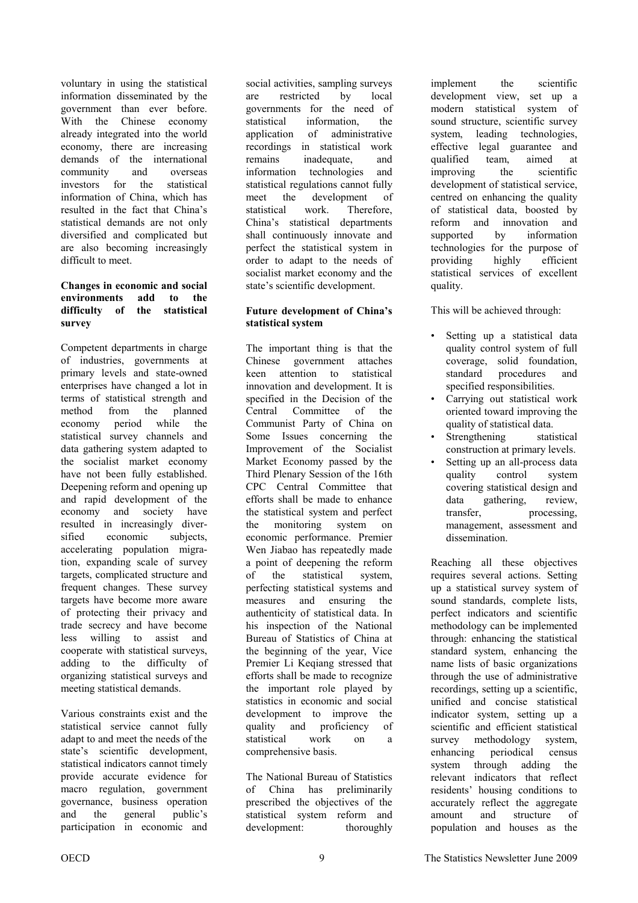voluntary in using the statistical information disseminated by the government than ever before. With the Chinese economy already integrated into the world economy, there are increasing demands of the international community and overseas investors for the statistical information of China, which has resulted in the fact that China's statistical demands are not only diversified and complicated but are also becoming increasingly difficult to meet.

#### **Changes in economic and social environments add to the difficulty of the statistical survey**

Competent departments in charge of industries, governments at primary levels and state-owned enterprises have changed a lot in terms of statistical strength and method from the planned economy period while the statistical survey channels and data gathering system adapted to the socialist market economy have not been fully established. Deepening reform and opening up and rapid development of the economy and society have resulted in increasingly diversified economic subjects, accelerating population migration, expanding scale of survey targets, complicated structure and frequent changes. These survey targets have become more aware of protecting their privacy and trade secrecy and have become less willing to assist and cooperate with statistical surveys, adding to the difficulty of organizing statistical surveys and meeting statistical demands.

Various constraints exist and the statistical service cannot fully adapt to and meet the needs of the state's scientific development, statistical indicators cannot timely provide accurate evidence for macro regulation, government governance, business operation and the general public's participation in economic and

social activities, sampling surveys are restricted by local governments for the need of statistical information, the application of administrative recordings in statistical work remains inadequate, and information technologies and statistical regulations cannot fully meet the development of statistical work. Therefore, China's statistical departments shall continuously innovate and perfect the statistical system in order to adapt to the needs of socialist market economy and the state's scientific development.

#### **Future development of China's statistical system**

The important thing is that the Chinese government attaches keen attention to statistical innovation and development. It is specified in the Decision of the Central Committee of the Communist Party of China on Some Issues concerning the Improvement of the Socialist Market Economy passed by the Third Plenary Session of the 16th CPC Central Committee that efforts shall be made to enhance the statistical system and perfect the monitoring system on economic performance. Premier Wen Jiabao has repeatedly made a point of deepening the reform of the statistical system, perfecting statistical systems and measures and ensuring the authenticity of statistical data. In his inspection of the National Bureau of Statistics of China at the beginning of the year, Vice Premier Li Keqiang stressed that efforts shall be made to recognize the important role played by statistics in economic and social development to improve the quality and proficiency of statistical work on a comprehensive basis.

The National Bureau of Statistics of China has preliminarily prescribed the objectives of the statistical system reform and development: thoroughly

implement the scientific development view, set up a modern statistical system of sound structure, scientific survey system, leading technologies, effective legal guarantee and qualified team, aimed at improving the scientific development of statistical service, centred on enhancing the quality of statistical data, boosted by reform and innovation and supported by information technologies for the purpose of providing highly efficient statistical services of excellent quality.

This will be achieved through:

- Setting up a statistical data quality control system of full coverage, solid foundation, standard procedures and specified responsibilities.
- Carrying out statistical work oriented toward improving the quality of statistical data.
- Strengthening statistical construction at primary levels.
- Setting up an all-process data quality control system covering statistical design and data gathering, review, transfer, processing, management, assessment and dissemination.

Reaching all these objectives requires several actions. Setting up a statistical survey system of sound standards, complete lists, perfect indicators and scientific methodology can be implemented through: enhancing the statistical standard system, enhancing the name lists of basic organizations through the use of administrative recordings, setting up a scientific, unified and concise statistical indicator system, setting up a scientific and efficient statistical survey methodology system, enhancing periodical census system through adding the relevant indicators that reflect residents' housing conditions to accurately reflect the aggregate amount and structure of population and houses as the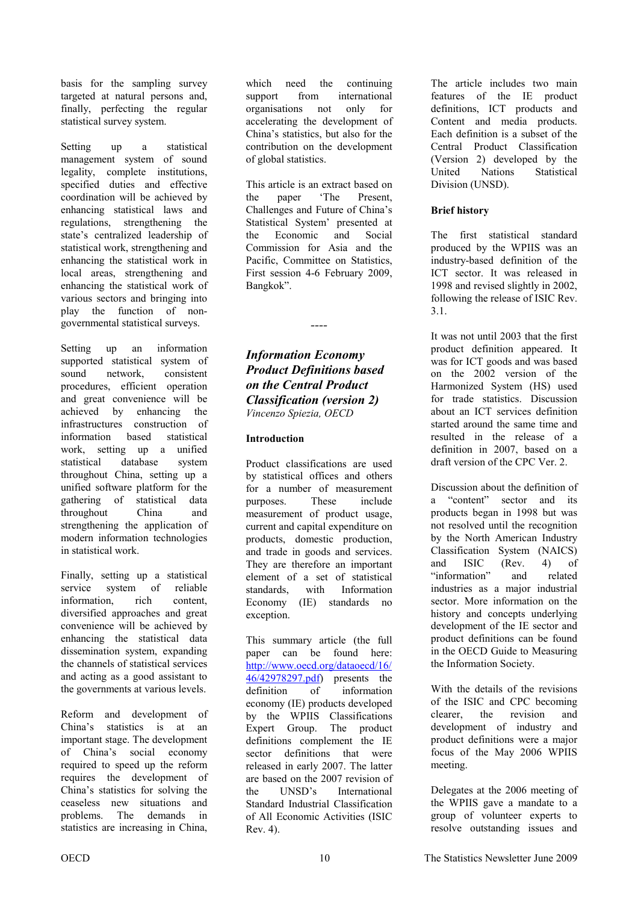<span id="page-9-0"></span>basis for the sampling survey targeted at natural persons and, finally, perfecting the regular statistical survey system.

Setting up a statistical management system of sound legality, complete institutions, specified duties and effective coordination will be achieved by enhancing statistical laws and regulations, strengthening the state's centralized leadership of statistical work, strengthening and enhancing the statistical work in local areas, strengthening and enhancing the statistical work of various sectors and bringing into play the function of nongovernmental statistical surveys.

Setting up an information supported statistical system of sound network consistent procedures, efficient operation and great convenience will be achieved by enhancing the infrastructures construction of information based statistical work, setting up a unified statistical database system throughout China, setting up a unified software platform for the gathering of statistical data throughout China and strengthening the application of modern information technologies in statistical work.

Finally, setting up a statistical service system of reliable information, rich content, diversified approaches and great convenience will be achieved by enhancing the statistical data dissemination system, expanding the channels of statistical services and acting as a good assistant to the governments at various levels.

Reform and development of China's statistics is at an important stage. The development of China's social economy required to speed up the reform requires the development of China's statistics for solving the ceaseless new situations and problems. The demands in statistics are increasing in China,

which need the continuing support from international organisations not only for accelerating the development of China's statistics, but also for the contribution on the development of global statistics.

This article is an extract based on the paper 'The Present, Challenges and Future of China's Statistical System' presented at the Economic and Social Commission for Asia and the Pacific, Committee on Statistics, First session 4-6 February 2009, Bangkok".

*Information Economy Product Definitions based on the Central Product Classification (version 2) Vincenzo Spiezia, OECD* 

*----* 

#### **Introduction**

Product classifications are used by statistical offices and others for a number of measurement purposes. These include measurement of product usage, current and capital expenditure on products, domestic production, and trade in goods and services. They are therefore an important element of a set of statistical standards, with Information Economy (IE) standards no exception.

This summary article (the full paper can be found here: [http://www.oecd.org/dataoecd/16/](http://www.oecd.org/dataoecd/16/46/42978297.pdf) 46/42978297.pdf) presents the definition of information economy (IE) products developed by the WPIIS Classifications Expert Group. The product definitions complement the IE sector definitions that were released in early 2007. The latter are based on the 2007 revision of the UNSD's International Standard Industrial Classification of All Economic Activities (ISIC Rev. 4).

The article includes two main features of the IE product definitions, ICT products and Content and media products. Each definition is a subset of the Central Product Classification (Version 2) developed by the United Nations Statistical Division (UNSD).

#### **Brief history**

The first statistical standard produced by the WPIIS was an industry-based definition of the ICT sector. It was released in 1998 and revised slightly in 2002, following the release of ISIC Rev. 3.1.

It was not until 2003 that the first product definition appeared. It was for ICT goods and was based on the 2002 version of the Harmonized System (HS) used for trade statistics. Discussion about an ICT services definition started around the same time and resulted in the release of a definition in 2007, based on a draft version of the CPC Ver. 2.

Discussion about the definition of a "content" sector and its products began in 1998 but was not resolved until the recognition by the North American Industry Classification System (NAICS) and ISIC (Rev. 4) of "information" and related industries as a major industrial sector. More information on the history and concepts underlying development of the IE sector and product definitions can be found in the OECD Guide to Measuring the Information Society.

With the details of the revisions of the ISIC and CPC becoming clearer, the revision and development of industry and product definitions were a major focus of the May 2006 WPIIS meeting.

Delegates at the 2006 meeting of the WPIIS gave a mandate to a group of volunteer experts to resolve outstanding issues and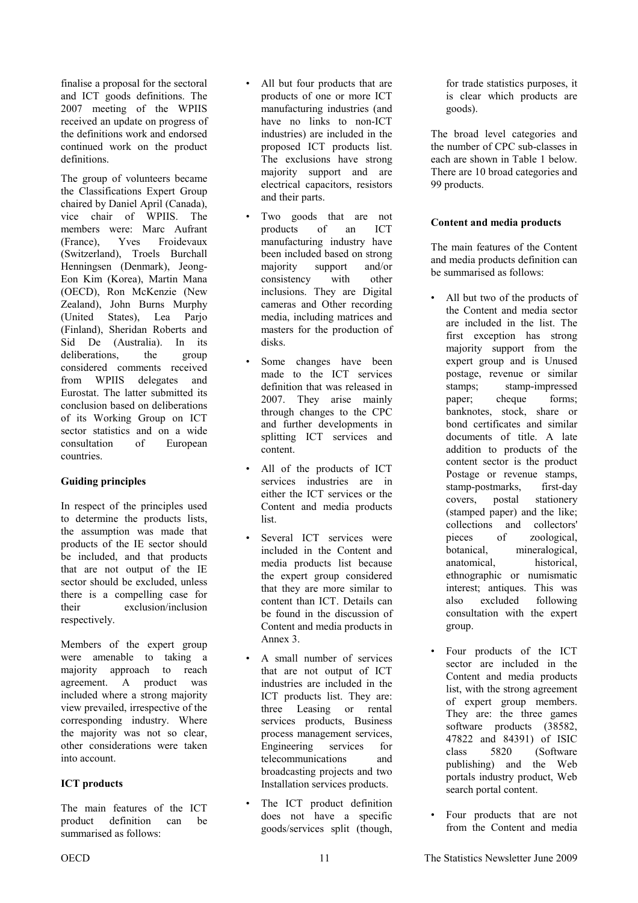finalise a proposal for the sectoral and ICT goods definitions. The 2007 meeting of the WPIIS received an update on progress of the definitions work and endorsed continued work on the product definitions.

The group of volunteers became the Classifications Expert Group chaired by Daniel April (Canada), vice chair of WPIIS. The members were: Marc Aufrant (France), Yves Froidevaux (Switzerland), Troels Burchall Henningsen (Denmark), Jeong-Eon Kim (Korea), Martin Mana (OECD), Ron McKenzie (New Zealand), John Burns Murphy (United States), Lea Parjo (Finland), Sheridan Roberts and Sid De (Australia). In its deliberations, the group considered comments received from WPIIS delegates and Eurostat. The latter submitted its conclusion based on deliberations of its Working Group on ICT sector statistics and on a wide consultation of European countries.

#### **Guiding principles**

In respect of the principles used to determine the products lists, the assumption was made that products of the IE sector should be included, and that products that are not output of the IE sector should be excluded, unless there is a compelling case for their exclusion/inclusion respectively.

Members of the expert group were amenable to taking a majority approach to reach agreement. A product was included where a strong majority view prevailed, irrespective of the corresponding industry. Where the majority was not so clear, other considerations were taken into account.

#### **ICT products**

The main features of the ICT product definition can be summarised as follows:

- All but four products that are products of one or more ICT manufacturing industries (and have no links to non-ICT industries) are included in the proposed ICT products list. The exclusions have strong majority support and are electrical capacitors, resistors and their parts.
- Two goods that are not products of an ICT manufacturing industry have been included based on strong majority support and/or consistency with other inclusions. They are Digital cameras and Other recording media, including matrices and masters for the production of disks.
- Some changes have been made to the ICT services definition that was released in 2007. They arise mainly through changes to the CPC and further developments in splitting ICT services and content.
- All of the products of ICT services industries are in either the ICT services or the Content and media products list.
- Several ICT services were included in the Content and media products list because the expert group considered that they are more similar to content than ICT. Details can be found in the discussion of Content and media products in Annex 3.
- A small number of services that are not output of ICT industries are included in the ICT products list. They are: three Leasing or rental services products, Business process management services, Engineering services for telecommunications and broadcasting projects and two Installation services products.
- The ICT product definition does not have a specific goods/services split (though,

for trade statistics purposes, it is clear which products are goods).

The broad level categories and the number of CPC sub-classes in each are shown in Table 1 below. There are 10 broad categories and 99 products.

#### **Content and media products**

The main features of the Content and media products definition can be summarised as follows:

- All but two of the products of the Content and media sector are included in the list. The first exception has strong majority support from the expert group and is Unused postage, revenue or similar stamps; stamp-impressed paper; cheque forms; banknotes, stock, share or bond certificates and similar documents of title. A late addition to products of the content sector is the product Postage or revenue stamps, stamp-postmarks, first-day covers, postal stationery (stamped paper) and the like; collections and collectors' pieces of zoological, botanical, mineralogical, anatomical, historical, ethnographic or numismatic interest; antiques. This was also excluded following consultation with the expert group.
- Four products of the ICT sector are included in the Content and media products list, with the strong agreement of expert group members. They are: the three games software products (38582, 47822 and 84391) of ISIC class 5820 (Software publishing) and the Web portals industry product, Web search portal content.
- Four products that are not from the Content and media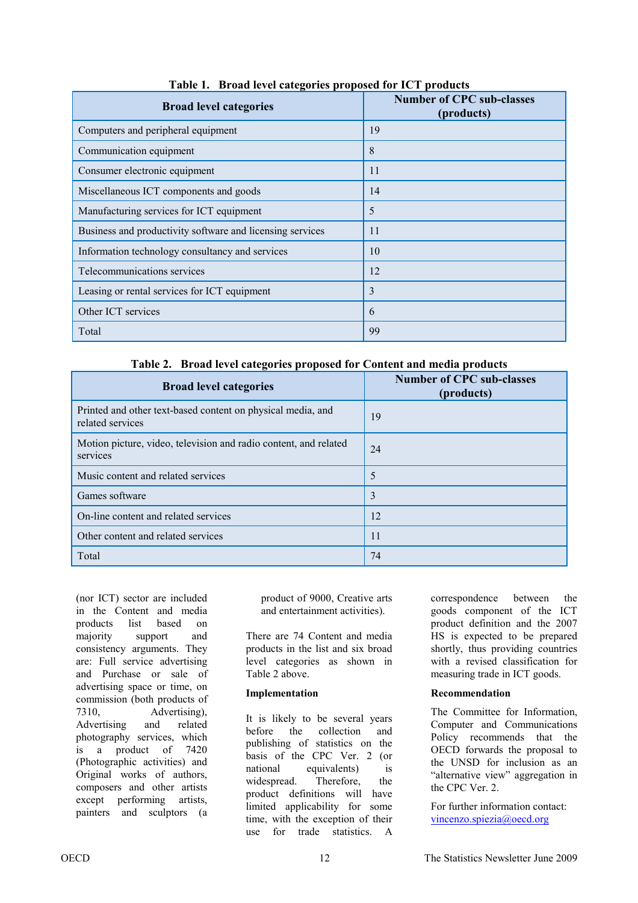| <b>Broad level categories</b>                             | <b>Number of CPC sub-classes</b><br>(products) |
|-----------------------------------------------------------|------------------------------------------------|
| Computers and peripheral equipment                        | 19                                             |
| Communication equipment                                   | 8                                              |
| Consumer electronic equipment                             | 11                                             |
| Miscellaneous ICT components and goods                    | 14                                             |
| Manufacturing services for ICT equipment                  | 5                                              |
| Business and productivity software and licensing services | 11                                             |
| Information technology consultancy and services           | 10                                             |
| Telecommunications services                               | 12                                             |
| Leasing or rental services for ICT equipment              | 3                                              |
| Other ICT services                                        | 6                                              |
| Total                                                     | 99                                             |

**Table 1. Broad level categories proposed for ICT products** 

**Table 2. Broad level categories proposed for Content and media products** 

| <b>Broad level categories</b>                                                   | <b>Number of CPC sub-classes</b><br>(products) |
|---------------------------------------------------------------------------------|------------------------------------------------|
| Printed and other text-based content on physical media, and<br>related services | 19                                             |
| Motion picture, video, television and radio content, and related<br>services    | 24                                             |
| Music content and related services                                              | 5                                              |
| Games software                                                                  | 3                                              |
| On-line content and related services                                            | 12                                             |
| Other content and related services                                              | 11                                             |
| Total                                                                           | 74                                             |

 (nor ICT) sector are included in the Content and media products list based on majority support and consistency arguments. They are: Full service advertising and Purchase or sale of advertising space or time, on commission (both products of 7310, Advertising), Advertising and related photography services, which is a product of 7420 (Photographic activities) and Original works of authors, composers and other artists except performing artists, painters and sculptors (a

product of 9000, Creative arts and entertainment activities).

There are 74 Content and media products in the list and six broad level categories as shown in Table 2 above.

#### **Implementation**

It is likely to be several years before the collection and publishing of statistics on the basis of the CPC Ver. 2 (or national equivalents) is widespread. Therefore, the product definitions will have limited applicability for some time, with the exception of their use for trade statistics. A

correspondence between the goods component of the ICT product definition and the 2007 HS is expected to be prepared shortly, thus providing countries with a revised classification for measuring trade in ICT goods.

#### **Recommendation**

The Committee for Information, Computer and Communications Policy recommends that the OECD forwards the proposal to the UNSD for inclusion as an "alternative view" aggregation in the CPC Ver. 2.

For further information contact: vincenzo.spiezia@oecd.org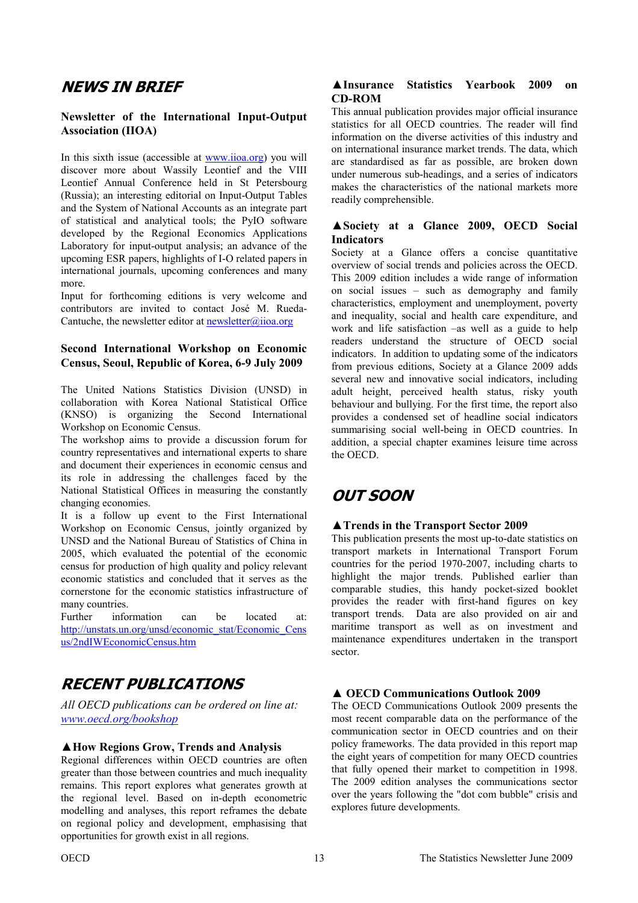# <span id="page-12-0"></span>**NEWS IN BRIEF**

#### **Newsletter of the International Input-Output Association (IIOA)**

In this sixth issue (accessible at www.iioa.org) you will discover more about Wassily Leontief and the VIII Leontief Annual Conference held in St Petersbourg (Russia); an interesting editorial on Input-Output Tables and the System of National Accounts as an integrate part of statistical and analytical tools; the PyIO software developed by the Regional Economics Applications Laboratory for input-output analysis; an advance of the upcoming ESR papers, highlights of I-O related papers in international journals, upcoming conferences and many more.

Input for forthcoming editions is very welcome and contributors are invited to contact José M. Rueda-Cantuche, the newsletter editor at  $newsletter(\hat{a})$ ioa.org

#### **Second International Workshop on Economic Census, Seoul, Republic of Korea, 6-9 July 2009**

The United Nations Statistics Division (UNSD) in collaboration with Korea National Statistical Office (KNSO) is organizing the Second International Workshop on Economic Census.

The workshop aims to provide a discussion forum for country representatives and international experts to share and document their experiences in economic census and its role in addressing the challenges faced by the National Statistical Offices in measuring the constantly changing economies.

It is a follow up event to the First International Workshop on Economic Census, jointly organized by UNSD and the National Bureau of Statistics of China in 2005, which evaluated the potential of the economic census for production of high quality and policy relevant economic statistics and concluded that it serves as the cornerstone for the economic statistics infrastructure of many countries.

Further information can be located at: [http://unstats.un.org/unsd/economic\\_stat/Economic\\_Cens](http://unstats.un.org/unsd/economic_stat/Economic_Census/2ndIWEconomicCensus.htm) us/2ndIWEconomicCensus.htm

# **RECENT PUBLICATIONS**

*All OECD publications can be ordered on line at: www.oecd.org/bookshop*

#### **▲How Regions Grow, Trends and Analysis**

Regional differences within OECD countries are often greater than those between countries and much inequality remains. This report explores what generates growth at the regional level. Based on in-depth econometric modelling and analyses, this report reframes the debate on regional policy and development, emphasising that opportunities for growth exist in all regions.

#### **▲Insurance Statistics Yearbook 2009 on CD-ROM**

This annual publication provides major official insurance statistics for all OECD countries. The reader will find information on the diverse activities of this industry and on international insurance market trends. The data, which are standardised as far as possible, are broken down under numerous sub-headings, and a series of indicators makes the characteristics of the national markets more readily comprehensible.

#### **▲Society at a Glance 2009, OECD Social Indicators**

Society at a Glance offers a concise quantitative overview of social trends and policies across the OECD. This 2009 edition includes a wide range of information on social issues – such as demography and family characteristics, employment and unemployment, poverty and inequality, social and health care expenditure, and work and life satisfaction –as well as a guide to help readers understand the structure of OECD social indicators. In addition to updating some of the indicators from previous editions, Society at a Glance 2009 adds several new and innovative social indicators, including adult height, perceived health status, risky youth behaviour and bullying. For the first time, the report also provides a condensed set of headline social indicators summarising social well-being in OECD countries. In addition, a special chapter examines leisure time across the OECD.

# **OUT SOON**

#### **▲Trends in the Transport Sector 2009**

This publication presents the most up-to-date statistics on transport markets in International Transport Forum countries for the period 1970-2007, including charts to highlight the major trends. Published earlier than comparable studies, this handy pocket-sized booklet provides the reader with first-hand figures on key transport trends. Data are also provided on air and maritime transport as well as on investment and maintenance expenditures undertaken in the transport sector.

#### **▲ OECD Communications Outlook 2009**

The OECD Communications Outlook 2009 presents the most recent comparable data on the performance of the communication sector in OECD countries and on their policy frameworks. The data provided in this report map the eight years of competition for many OECD countries that fully opened their market to competition in 1998. The 2009 edition analyses the communications sector over the years following the "dot com bubble" crisis and explores future developments.